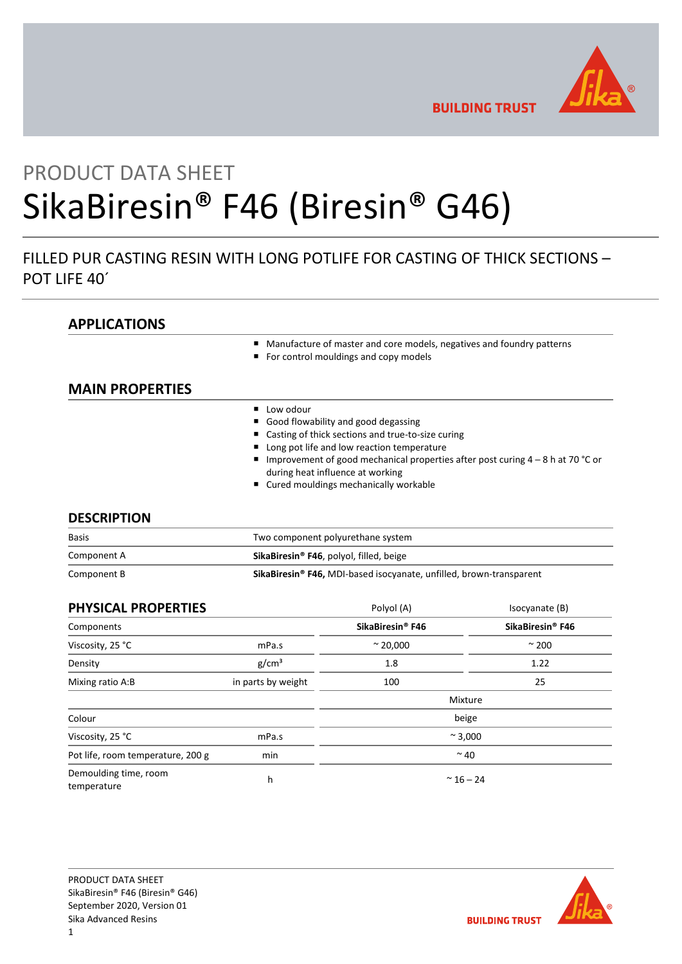

**BUILDING TRUST** 

# PRODUCT DATA SHEET SikaBiresin® F46 (Biresin® G46)

## FILLED PUR CASTING RESIN WITH LONG POTLIFE FOR CASTING OF THICK SECTIONS – POT LIFE 40´

## **APPLICATIONS**

- Manufacture of master and core models, negatives and foundry patterns
- For control mouldings and copy models

## **MAIN PROPERTIES**

- **Low odour**
- Good flowability and good degassing
- Casting of thick sections and true-to-size curing
- Long pot life and low reaction temperature
- Improvement of good mechanical properties after post curing 4 8 h at 70 °C or during heat influence at working
- Cured mouldings mechanically workable

### **DESCRIPTION**

| <b>Basis</b> | Two component polyurethane system                                               |  |
|--------------|---------------------------------------------------------------------------------|--|
| Component A  | SikaBiresin <sup>®</sup> F46, polyol, filled, beige                             |  |
| Component B  | SikaBiresin <sup>®</sup> F46, MDI-based isocyanate, unfilled, brown-transparent |  |

| PHYSICAL PROPERTIES                  |                    | Polyol (A)                   | Isocyanate (B)               |
|--------------------------------------|--------------------|------------------------------|------------------------------|
| Components                           |                    | SikaBiresin <sup>®</sup> F46 | SikaBiresin <sup>®</sup> F46 |
| Viscosity, 25 °C                     | mPa.s              | $~^{\circ}$ 20,000           | $\approx$ 200                |
| Density                              | g/cm <sup>3</sup>  | 1.8                          | 1.22                         |
| Mixing ratio A:B                     | in parts by weight | 100                          | 25                           |
|                                      |                    |                              | Mixture                      |
| Colour                               |                    |                              | beige                        |
| Viscosity, 25 °C                     | mPa.s              | $~^{\sim}$ 3,000             |                              |
| Pot life, room temperature, 200 g    | min                | $~^{\sim}$ 40                |                              |
| Demoulding time, room<br>temperature | h                  | $~^{\sim}$ 16 – 24           |                              |

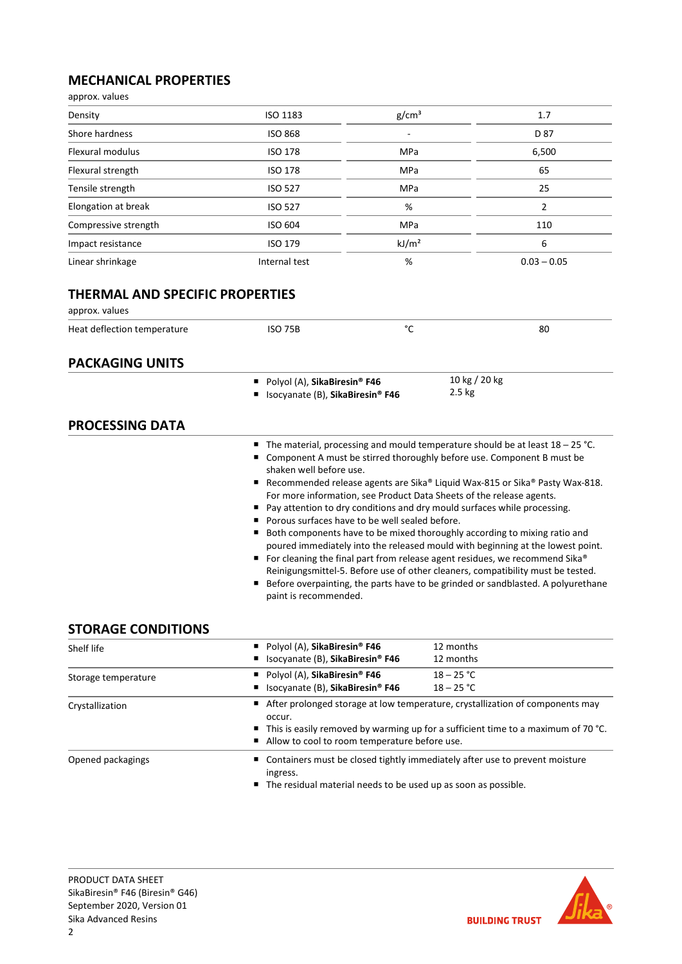## **MECHANICAL PROPERTIES**

| approx. values                                           |                                                                  |                   |                         |                |
|----------------------------------------------------------|------------------------------------------------------------------|-------------------|-------------------------|----------------|
| Density                                                  | ISO 1183                                                         | g/cm <sup>3</sup> |                         | 1.7            |
| Shore hardness                                           | <b>ISO 868</b>                                                   |                   |                         | D 87           |
| <b>Flexural modulus</b>                                  | <b>ISO 178</b>                                                   | MPa               |                         | 6,500          |
| Flexural strength                                        | <b>ISO 178</b>                                                   | MPa               |                         | 65             |
| Tensile strength                                         | <b>ISO 527</b>                                                   | MPa               |                         | 25             |
| Elongation at break                                      | <b>ISO 527</b>                                                   | %                 |                         | $\overline{2}$ |
| Compressive strength                                     | <b>ISO 604</b>                                                   | MPa               |                         | 110            |
| Impact resistance                                        | <b>ISO 179</b>                                                   | kJ/m <sup>2</sup> |                         | 6              |
| Linear shrinkage                                         | Internal test                                                    | %                 |                         | $0.03 - 0.05$  |
| <b>THERMAL AND SPECIFIC PROPERTIES</b><br>approx. values |                                                                  |                   |                         |                |
| Heat deflection temperature                              | <b>ISO 75B</b>                                                   | °C                |                         | 80             |
| <b>PACKAGING UNITS</b>                                   |                                                                  |                   |                         |                |
|                                                          | Polyol (A), SikaBiresin® F46<br>Isocyanate (B), SikaBiresin® F46 |                   | 10 kg / 20 kg<br>2.5 kg |                |
| <b>PROCESSING DATA</b>                                   |                                                                  |                   |                         |                |

- The material, processing and mould temperature should be at least 18 25 °C.
- Component A must be stirred thoroughly before use. Component B must be shaken well before use.
- Recommended release agents are Sika® Liquid Wax-815 or Sika® Pasty Wax-818. For more information, see Product Data Sheets of the release agents.
- Pay attention to dry conditions and dry mould surfaces while processing.
- **Porous surfaces have to be well sealed before.**
- Both components have to be mixed thoroughly according to mixing ratio and poured immediately into the released mould with beginning at the lowest point.
- For cleaning the final part from release agent residues, we recommend Sika® Reinigungsmittel-5. Before use of other cleaners, compatibility must be tested.
- Before overpainting, the parts have to be grinded or sandblasted. A polyurethane paint is recommended.

## **STORAGE CONDITIONS**

| Shelf life          | Polyol (A), SikaBiresin <sup>®</sup> F46                                                                                                                                                                                                       | 12 months                                                                                                                                         |  |  |
|---------------------|------------------------------------------------------------------------------------------------------------------------------------------------------------------------------------------------------------------------------------------------|---------------------------------------------------------------------------------------------------------------------------------------------------|--|--|
|                     | ■ Isocyanate (B), SikaBiresin® F46                                                                                                                                                                                                             | 12 months                                                                                                                                         |  |  |
| Storage temperature | Polyol (A), SikaBiresin <sup>®</sup> F46                                                                                                                                                                                                       | $18 - 25 °C$                                                                                                                                      |  |  |
|                     | ■ Isocyanate (B), SikaBiresin® F46                                                                                                                                                                                                             | $18 - 25 °C$                                                                                                                                      |  |  |
| Crystallization     | ■ After prolonged storage at low temperature, crystallization of components may<br>occur.<br>$\blacksquare$ This is easily removed by warming up for a sufficient time to a maximum of 70 °C.<br>Allow to cool to room temperature before use. |                                                                                                                                                   |  |  |
| Opened packagings   | ingress.                                                                                                                                                                                                                                       | ■ Containers must be closed tightly immediately after use to prevent moisture<br>■ The residual material needs to be used up as soon as possible. |  |  |